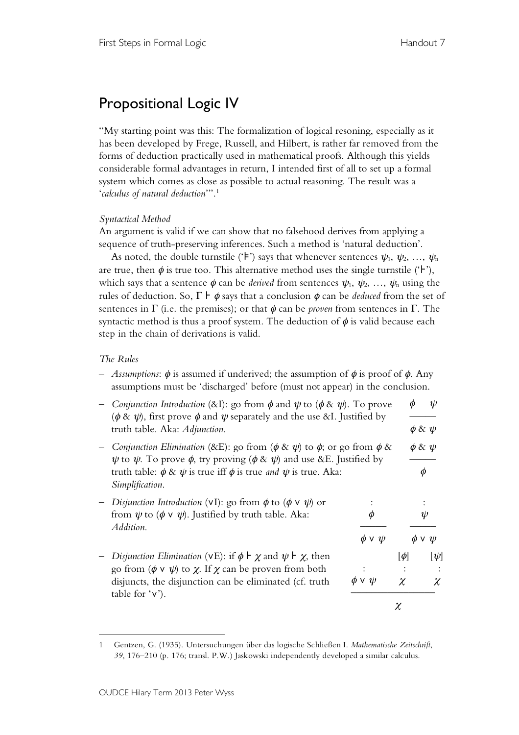## Propositional Logic IV

"My starting point was this: The formalization of logical resoning, especially as it has been developed by Frege, Russell, and Hilbert, is rather far removed from the forms of deduction practically used in mathematical proofs. Although this yields considerable formal advantages in return, I intended first of all to set up a formal system which comes as close as possible to actual reasoning. The result was a '*calculus of natural deduction*'". 1

## *Syntactical Method*

An argument is valid if we can show that no falsehood derives from applying a sequence of truth-preserving inferences. Such a method is 'natural deduction'.

As noted, the double turnstile (' $\models$ ') says that whenever sentences  $\psi_1, \psi_2, ..., \psi_n$ are true, then  $\phi$  is true too. This alternative method uses the single turnstile ( $\digamma$ ), which says that a sentence  $\phi$  can be *derived* from sentences  $\psi_1, \psi_2, \ldots, \psi_n$  using the rules of deduction. So,  $\Gamma \vdash \phi$  says that a conclusion  $\phi$  can be *deduced* from the set of sentences in  $\Gamma$  (i.e. the premises); or that  $\phi$  can be *proven* from sentences in  $\Gamma$ . The syntactic method is thus a proof system. The deduction of  $\phi$  is valid because each step in the chain of derivations is valid.

## *The Rules*

– *Assumptions*: φ is assumed if underived; the assumption of φ is proof of φ*.* Any assumptions must be 'discharged' before (must not appear) in the conclusion.

|  | <i>Conjunction Introduction</i> (&I): go from $\phi$ and $\psi$ to ( $\phi$ & $\psi$ ). To prove<br>$(\phi \& \psi)$ , first prove $\phi$ and $\psi$ separately and the use &I. Justified by<br>truth table. Aka: Adjunction.                                                                                 |                  |                    |                     | W                   |
|--|---------------------------------------------------------------------------------------------------------------------------------------------------------------------------------------------------------------------------------------------------------------------------------------------------------------|------------------|--------------------|---------------------|---------------------|
|  |                                                                                                                                                                                                                                                                                                               |                  |                    |                     | $\phi \otimes \psi$ |
|  | <i>Conjunction Elimination</i> (&E): go from ( $\phi \& \psi$ ) to $\phi$ ; or go from $\phi \&$<br>$\psi$ to $\psi$ . To prove $\phi$ , try proving ( $\phi \& \psi$ ) and use &E. Justified by<br>truth table: $\phi \& \psi$ is true iff $\phi$ is true <i>and</i> $\psi$ is true. Aka:<br>Simplification. |                  |                    | $\phi \& \psi$<br>Φ |                     |
|  | Disjunction Introduction (vI): go from $\phi$ to $(\phi \vee \psi)$ or<br>from $\psi$ to $(\phi \vee \psi)$ . Justified by truth table. Aka:<br>Addition.                                                                                                                                                     | Φ                |                    | $\psi$              |                     |
|  |                                                                                                                                                                                                                                                                                                               | $\phi \vee \psi$ |                    | $\phi \vee \psi$    |                     |
|  | Disjunction Elimination (vE): if $\phi \vdash \chi$ and $\psi \vdash \chi$ , then<br>go from $(\phi \vee \psi)$ to $\chi$ . If $\chi$ can be proven from both<br>disjuncts, the disjunction can be eliminated (cf. truth<br>table for $\forall$ ).                                                            | φνψ              | $[\phi]$<br>$\chi$ |                     | $ \psi $<br>$\chi$  |
|  |                                                                                                                                                                                                                                                                                                               | χ                |                    |                     |                     |

 $\overline{a}$ 1 Gentzen, G. (1935). Untersuchungen über das logische Schließen I. *Mathematische Zeitschrift*, *39*, 176–210 (p. 176; transl. P.W.) Jaskowski independently developed a similar calculus.